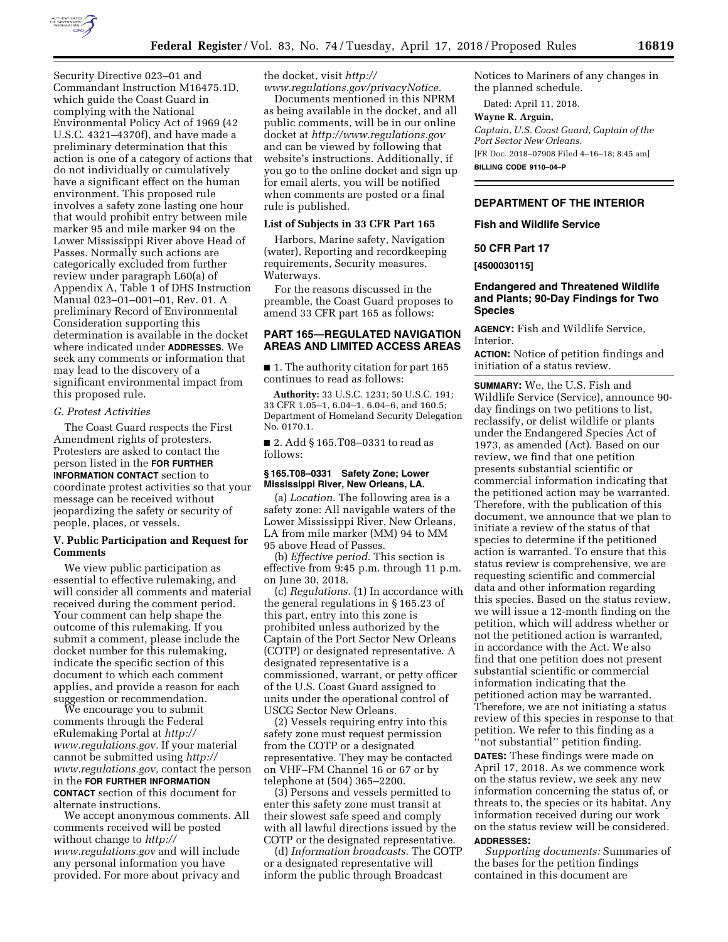

Security Directive 023–01 and Commandant Instruction M16475.1D, which guide the Coast Guard in complying with the National Environmental Policy Act of 1969 (42 U.S.C. 4321–4370f), and have made a preliminary determination that this action is one of a category of actions that do not individually or cumulatively have a significant effect on the human environment. This proposed rule involves a safety zone lasting one hour that would prohibit entry between mile marker 95 and mile marker 94 on the Lower Mississippi River above Head of Passes. Normally such actions are categorically excluded from further review under paragraph L60(a) of Appendix A, Table 1 of DHS Instruction Manual 023–01–001–01, Rev. 01. A preliminary Record of Environmental Consideration supporting this determination is available in the docket where indicated under **ADDRESSES**. We seek any comments or information that may lead to the discovery of a significant environmental impact from this proposed rule.

#### *G. Protest Activities*

The Coast Guard respects the First Amendment rights of protesters. Protesters are asked to contact the person listed in the **FOR FURTHER INFORMATION CONTACT** section to coordinate protest activities so that your message can be received without jeopardizing the safety or security of people, places, or vessels.

# **V. Public Participation and Request for Comments**

We view public participation as essential to effective rulemaking, and will consider all comments and material received during the comment period. Your comment can help shape the outcome of this rulemaking. If you submit a comment, please include the docket number for this rulemaking, indicate the specific section of this document to which each comment applies, and provide a reason for each suggestion or recommendation.

We encourage you to submit comments through the Federal eRulemaking Portal at *[http://](http://www.regulations.gov) [www.regulations.gov.](http://www.regulations.gov)* If your material cannot be submitted using *[http://](http://www.regulations.gov) [www.regulations.gov,](http://www.regulations.gov)* contact the person in the **FOR FURTHER INFORMATION CONTACT** section of this document for alternate instructions.

We accept anonymous comments. All comments received will be posted without change to *[http://](http://www.regulations.gov) [www.regulations.gov](http://www.regulations.gov)* and will include any personal information you have provided. For more about privacy and

the docket, visit *[http://](http://www.regulations.gov/privacyNotice) [www.regulations.gov/privacyNotice.](http://www.regulations.gov/privacyNotice)* 

Documents mentioned in this NPRM as being available in the docket, and all public comments, will be in our online docket at *<http://www.regulations.gov>*  and can be viewed by following that website's instructions. Additionally, if you go to the online docket and sign up for email alerts, you will be notified when comments are posted or a final rule is published.

### **List of Subjects in 33 CFR Part 165**

Harbors, Marine safety, Navigation (water), Reporting and recordkeeping requirements, Security measures, Waterways.

For the reasons discussed in the preamble, the Coast Guard proposes to amend 33 CFR part 165 as follows:

# **PART 165—REGULATED NAVIGATION AREAS AND LIMITED ACCESS AREAS**

■ 1. The authority citation for part 165 continues to read as follows:

**Authority:** 33 U.S.C. 1231; 50 U.S.C. 191; 33 CFR 1.05–1, 6.04–1, 6.04–6, and 160.5; Department of Homeland Security Delegation No. 0170.1.

■ 2. Add § 165.T08–0331 to read as follows:

# **§ 165.T08–0331 Safety Zone; Lower Mississippi River, New Orleans, LA.**

(a) *Location.* The following area is a safety zone: All navigable waters of the Lower Mississippi River, New Orleans, LA from mile marker (MM) 94 to MM 95 above Head of Passes.

(b) *Effective period.* This section is effective from 9:45 p.m. through 11 p.m. on June 30, 2018.

(c) *Regulations.* (1) In accordance with the general regulations in § 165.23 of this part, entry into this zone is prohibited unless authorized by the Captain of the Port Sector New Orleans (COTP) or designated representative. A designated representative is a commissioned, warrant, or petty officer of the U.S. Coast Guard assigned to units under the operational control of USCG Sector New Orleans.

(2) Vessels requiring entry into this safety zone must request permission from the COTP or a designated representative. They may be contacted on VHF–FM Channel 16 or 67 or by telephone at (504) 365–2200.

(3) Persons and vessels permitted to enter this safety zone must transit at their slowest safe speed and comply with all lawful directions issued by the COTP or the designated representative.

(d) *Information broadcasts.* The COTP or a designated representative will inform the public through Broadcast

Notices to Mariners of any changes in the planned schedule.

Dated: April 11, 2018.

### **Wayne R. Arguin,**

*Captain, U.S. Coast Guard, Captain of the Port Sector New Orleans.* 

[FR Doc. 2018–07908 Filed 4–16–18; 8:45 am]

**BILLING CODE 9110–04–P** 

# **DEPARTMENT OF THE INTERIOR**

**Fish and Wildlife Service** 

# **50 CFR Part 17**

**[4500030115]** 

# **Endangered and Threatened Wildlife and Plants; 90-Day Findings for Two Species**

**AGENCY:** Fish and Wildlife Service, Interior.

**ACTION:** Notice of petition findings and initiation of a status review.

**SUMMARY:** We, the U.S. Fish and Wildlife Service (Service), announce 90 day findings on two petitions to list, reclassify, or delist wildlife or plants under the Endangered Species Act of 1973, as amended (Act). Based on our review, we find that one petition presents substantial scientific or commercial information indicating that the petitioned action may be warranted. Therefore, with the publication of this document, we announce that we plan to initiate a review of the status of that species to determine if the petitioned action is warranted. To ensure that this status review is comprehensive, we are requesting scientific and commercial data and other information regarding this species. Based on the status review, we will issue a 12-month finding on the petition, which will address whether or not the petitioned action is warranted, in accordance with the Act. We also find that one petition does not present substantial scientific or commercial information indicating that the petitioned action may be warranted. Therefore, we are not initiating a status review of this species in response to that petition. We refer to this finding as a ''not substantial'' petition finding.

**DATES:** These findings were made on April 17, 2018. As we commence work on the status review, we seek any new information concerning the status of, or threats to, the species or its habitat. Any information received during our work on the status review will be considered. **ADDRESSES:** 

*Supporting documents:* Summaries of the bases for the petition findings contained in this document are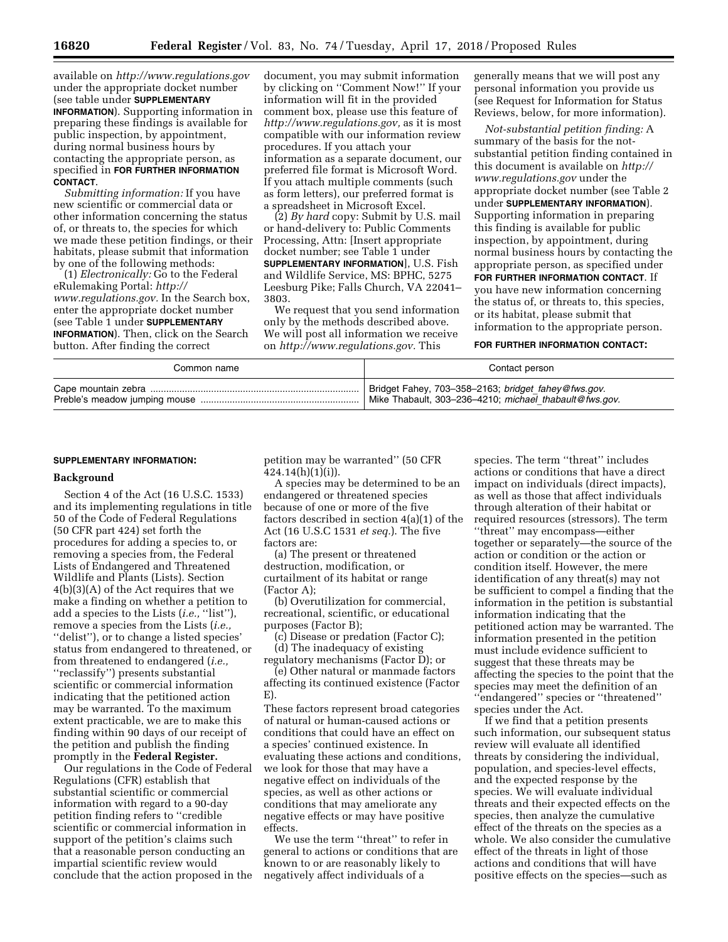available on *<http://www.regulations.gov>* under the appropriate docket number (see table under **SUPPLEMENTARY INFORMATION**). Supporting information in preparing these findings is available for public inspection, by appointment, during normal business hours by contacting the appropriate person, as specified in **FOR FURTHER INFORMATION CONTACT**.

*Submitting information:* If you have new scientific or commercial data or other information concerning the status of, or threats to, the species for which we made these petition findings, or their habitats, please submit that information by one of the following methods:

(1) *Electronically:* Go to the Federal eRulemaking Portal: *[http://](http://www.regulations.gov) [www.regulations.gov.](http://www.regulations.gov)* In the Search box, enter the appropriate docket number (see Table 1 under **SUPPLEMENTARY INFORMATION**). Then, click on the Search button. After finding the correct

document, you may submit information by clicking on ''Comment Now!'' If your information will fit in the provided comment box, please use this feature of *[http://www.regulations.gov,](http://www.regulations.gov)* as it is most compatible with our information review procedures. If you attach your information as a separate document, our preferred file format is Microsoft Word. If you attach multiple comments (such as form letters), our preferred format is a spreadsheet in Microsoft Excel.

(2) *By hard* copy: Submit by U.S. mail or hand-delivery to: Public Comments Processing, Attn: [Insert appropriate docket number; see Table 1 under **SUPPLEMENTARY INFORMATION**], U.S. Fish and Wildlife Service, MS: BPHC, 5275 Leesburg Pike; Falls Church, VA 22041– 3803.

We request that you send information only by the methods described above. We will post all information we receive on *[http://www.regulations.gov.](http://www.regulations.gov)* This

generally means that we will post any personal information you provide us (see Request for Information for Status Reviews, below, for more information).

*Not-substantial petition finding:* A summary of the basis for the notsubstantial petition finding contained in this document is available on *[http://](http://www.regulations.gov) [www.regulations.gov](http://www.regulations.gov)* under the appropriate docket number (see Table 2 under **SUPPLEMENTARY INFORMATION**). Supporting information in preparing this finding is available for public inspection, by appointment, during normal business hours by contacting the appropriate person, as specified under **FOR FURTHER INFORMATION CONTACT**. If you have new information concerning the status of, or threats to, this species, or its habitat, please submit that information to the appropriate person.

### **FOR FURTHER INFORMATION CONTACT:**

| Common name | Contact person                                         |
|-------------|--------------------------------------------------------|
|             | Bridget Fahey, 703-358-2163; bridget fahey@fws.gov.    |
|             | Mike Thabault, 303-236-4210; michael thabault@fws.gov. |

#### **SUPPLEMENTARY INFORMATION:**

#### **Background**

Section 4 of the Act (16 U.S.C. 1533) and its implementing regulations in title 50 of the Code of Federal Regulations (50 CFR part 424) set forth the procedures for adding a species to, or removing a species from, the Federal Lists of Endangered and Threatened Wildlife and Plants (Lists). Section 4(b)(3)(A) of the Act requires that we make a finding on whether a petition to add a species to the Lists (*i.e.,* ''list''), remove a species from the Lists (*i.e.,*  ''delist''), or to change a listed species' status from endangered to threatened, or from threatened to endangered (*i.e.,*  ''reclassify'') presents substantial scientific or commercial information indicating that the petitioned action may be warranted. To the maximum extent practicable, we are to make this finding within 90 days of our receipt of the petition and publish the finding promptly in the **Federal Register.** 

Our regulations in the Code of Federal Regulations (CFR) establish that substantial scientific or commercial information with regard to a 90-day petition finding refers to ''credible scientific or commercial information in support of the petition's claims such that a reasonable person conducting an impartial scientific review would conclude that the action proposed in the petition may be warranted'' (50 CFR 424.14(h)(1)(i)).

A species may be determined to be an endangered or threatened species because of one or more of the five factors described in section 4(a)(1) of the Act (16 U.S.C 1531 *et seq.*). The five factors are:

(a) The present or threatened destruction, modification, or curtailment of its habitat or range (Factor A);

(b) Overutilization for commercial, recreational, scientific, or educational purposes (Factor B);

(c) Disease or predation (Factor C); (d) The inadequacy of existing

regulatory mechanisms (Factor D); or (e) Other natural or manmade factors affecting its continued existence (Factor

E).

These factors represent broad categories of natural or human-caused actions or conditions that could have an effect on a species' continued existence. In evaluating these actions and conditions, we look for those that may have a negative effect on individuals of the species, as well as other actions or conditions that may ameliorate any negative effects or may have positive effects.

We use the term ''threat'' to refer in general to actions or conditions that are known to or are reasonably likely to negatively affect individuals of a

species. The term ''threat'' includes actions or conditions that have a direct impact on individuals (direct impacts), as well as those that affect individuals through alteration of their habitat or required resources (stressors). The term ''threat'' may encompass—either together or separately—the source of the action or condition or the action or condition itself. However, the mere identification of any threat(s) may not be sufficient to compel a finding that the information in the petition is substantial information indicating that the petitioned action may be warranted. The information presented in the petition must include evidence sufficient to suggest that these threats may be affecting the species to the point that the species may meet the definition of an ''endangered'' species or ''threatened'' species under the Act.

If we find that a petition presents such information, our subsequent status review will evaluate all identified threats by considering the individual, population, and species-level effects, and the expected response by the species. We will evaluate individual threats and their expected effects on the species, then analyze the cumulative effect of the threats on the species as a whole. We also consider the cumulative effect of the threats in light of those actions and conditions that will have positive effects on the species—such as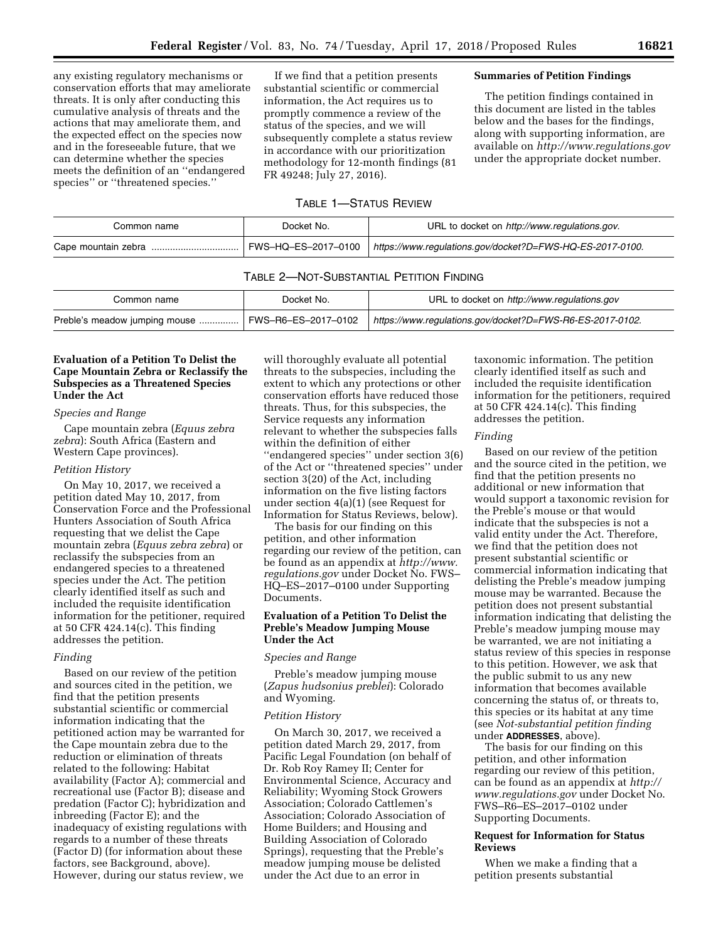any existing regulatory mechanisms or conservation efforts that may ameliorate threats. It is only after conducting this cumulative analysis of threats and the actions that may ameliorate them, and the expected effect on the species now and in the foreseeable future, that we can determine whether the species meets the definition of an ''endangered species'' or ''threatened species.''

If we find that a petition presents substantial scientific or commercial information, the Act requires us to promptly commence a review of the status of the species, and we will subsequently complete a status review in accordance with our prioritization methodology for 12-month findings (81 FR 49248; July 27, 2016).

# **Summaries of Petition Findings**

The petition findings contained in this document are listed in the tables below and the bases for the findings, along with supporting information, are available on *<http://www.regulations.gov>* under the appropriate docket number.

# TABLE 1—STATUS REVIEW

| Common name | Docket No.          | URL to docket on http://www.regulations.gov.              |
|-------------|---------------------|-----------------------------------------------------------|
|             | FWS–HQ–ES–2017–0100 | https://www.regulations.gov/docket?D=FWS-HQ-ES-2017-0100. |

### TABLE 2—NOT-SUBSTANTIAL PETITION FINDING

| Common name                   | Docket No.          | URL to docket on http://www.regulations.gov               |
|-------------------------------|---------------------|-----------------------------------------------------------|
| Preble's meadow jumping mouse | FWS-R6-ES-2017-0102 | https://www.regulations.gov/docket?D=FWS-R6-ES-2017-0102. |

# **Evaluation of a Petition To Delist the Cape Mountain Zebra or Reclassify the Subspecies as a Threatened Species Under the Act**

#### *Species and Range*

Cape mountain zebra (*Equus zebra zebra*): South Africa (Eastern and Western Cape provinces).

#### *Petition History*

On May 10, 2017, we received a petition dated May 10, 2017, from Conservation Force and the Professional Hunters Association of South Africa requesting that we delist the Cape mountain zebra (*Equus zebra zebra*) or reclassify the subspecies from an endangered species to a threatened species under the Act. The petition clearly identified itself as such and included the requisite identification information for the petitioner, required at 50 CFR 424.14(c). This finding addresses the petition.

### *Finding*

Based on our review of the petition and sources cited in the petition, we find that the petition presents substantial scientific or commercial information indicating that the petitioned action may be warranted for the Cape mountain zebra due to the reduction or elimination of threats related to the following: Habitat availability (Factor A); commercial and recreational use (Factor B); disease and predation (Factor C); hybridization and inbreeding (Factor E); and the inadequacy of existing regulations with regards to a number of these threats (Factor D) (for information about these factors, see Background, above). However, during our status review, we

will thoroughly evaluate all potential threats to the subspecies, including the extent to which any protections or other conservation efforts have reduced those threats. Thus, for this subspecies, the Service requests any information relevant to whether the subspecies falls within the definition of either ''endangered species'' under section 3(6) of the Act or ''threatened species'' under section 3(20) of the Act, including information on the five listing factors under section 4(a)(1) (see Request for Information for Status Reviews, below).

The basis for our finding on this petition, and other information regarding our review of the petition, can be found as an appendix at *[http://www.](http://www.regulations.gov) [regulations.gov](http://www.regulations.gov)* under Docket No. FWS– HQ–ES–2017–0100 under Supporting Documents.

### **Evaluation of a Petition To Delist the Preble's Meadow Jumping Mouse Under the Act**

#### *Species and Range*

Preble's meadow jumping mouse (*Zapus hudsonius preblei*): Colorado and Wyoming.

#### *Petition History*

On March 30, 2017, we received a petition dated March 29, 2017, from Pacific Legal Foundation (on behalf of Dr. Rob Roy Ramey II; Center for Environmental Science, Accuracy and Reliability; Wyoming Stock Growers Association; Colorado Cattlemen's Association; Colorado Association of Home Builders; and Housing and Building Association of Colorado Springs), requesting that the Preble's meadow jumping mouse be delisted under the Act due to an error in

taxonomic information. The petition clearly identified itself as such and included the requisite identification information for the petitioners, required at 50 CFR 424.14(c). This finding addresses the petition.

### *Finding*

Based on our review of the petition and the source cited in the petition, we find that the petition presents no additional or new information that would support a taxonomic revision for the Preble's mouse or that would indicate that the subspecies is not a valid entity under the Act. Therefore, we find that the petition does not present substantial scientific or commercial information indicating that delisting the Preble's meadow jumping mouse may be warranted. Because the petition does not present substantial information indicating that delisting the Preble's meadow jumping mouse may be warranted, we are not initiating a status review of this species in response to this petition. However, we ask that the public submit to us any new information that becomes available concerning the status of, or threats to, this species or its habitat at any time (see *Not-substantial petition finding*  under **ADDRESSES**, above).

The basis for our finding on this petition, and other information regarding our review of this petition, can be found as an appendix at *[http://](http://www.regulations.gov) [www.regulations.gov](http://www.regulations.gov)* under Docket No. FWS–R6–ES–2017–0102 under Supporting Documents.

# **Request for Information for Status Reviews**

When we make a finding that a petition presents substantial